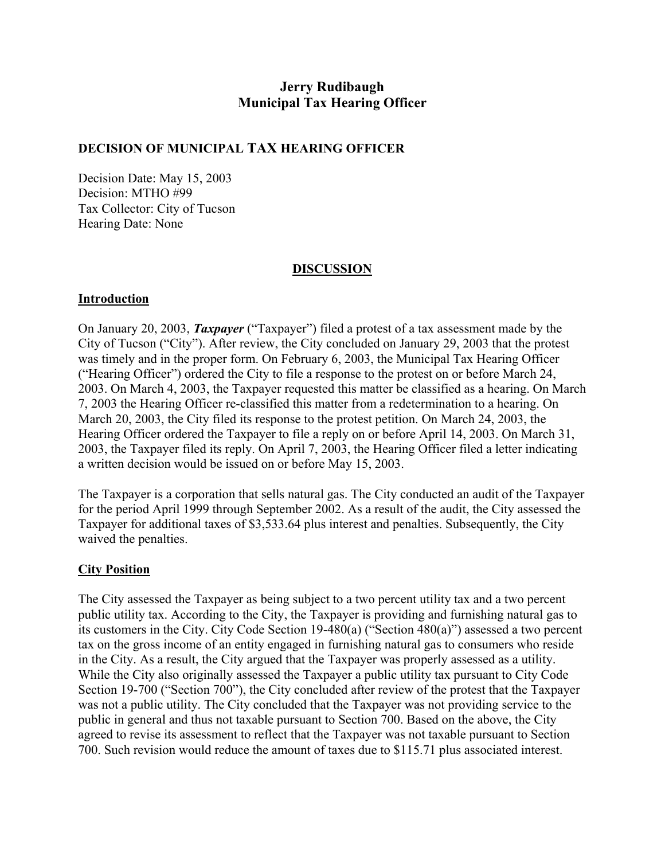# **Jerry Rudibaugh Municipal Tax Hearing Officer**

## **DECISION OF MUNICIPAL TAX HEARING OFFICER**

Decision Date: May 15, 2003 Decision: MTHO #99 Tax Collector: City of Tucson Hearing Date: None

### **DISCUSSION**

#### **Introduction**

On January 20, 2003, *Taxpayer* ("Taxpayer") filed a protest of a tax assessment made by the City of Tucson ("City"). After review, the City concluded on January 29, 2003 that the protest was timely and in the proper form. On February 6, 2003, the Municipal Tax Hearing Officer ("Hearing Officer") ordered the City to file a response to the protest on or before March 24, 2003. On March 4, 2003, the Taxpayer requested this matter be classified as a hearing. On March 7, 2003 the Hearing Officer re-classified this matter from a redetermination to a hearing. On March 20, 2003, the City filed its response to the protest petition. On March 24, 2003, the Hearing Officer ordered the Taxpayer to file a reply on or before April 14, 2003. On March 31, 2003, the Taxpayer filed its reply. On April 7, 2003, the Hearing Officer filed a letter indicating a written decision would be issued on or before May 15, 2003.

The Taxpayer is a corporation that sells natural gas. The City conducted an audit of the Taxpayer for the period April 1999 through September 2002. As a result of the audit, the City assessed the Taxpayer for additional taxes of \$3,533.64 plus interest and penalties. Subsequently, the City waived the penalties.

## **City Position**

The City assessed the Taxpayer as being subject to a two percent utility tax and a two percent public utility tax. According to the City, the Taxpayer is providing and furnishing natural gas to its customers in the City. City Code Section 19-480(a) ("Section 480(a)") assessed a two percent tax on the gross income of an entity engaged in furnishing natural gas to consumers who reside in the City. As a result, the City argued that the Taxpayer was properly assessed as a utility. While the City also originally assessed the Taxpayer a public utility tax pursuant to City Code Section 19-700 ("Section 700"), the City concluded after review of the protest that the Taxpayer was not a public utility. The City concluded that the Taxpayer was not providing service to the public in general and thus not taxable pursuant to Section 700. Based on the above, the City agreed to revise its assessment to reflect that the Taxpayer was not taxable pursuant to Section 700. Such revision would reduce the amount of taxes due to \$115.71 plus associated interest.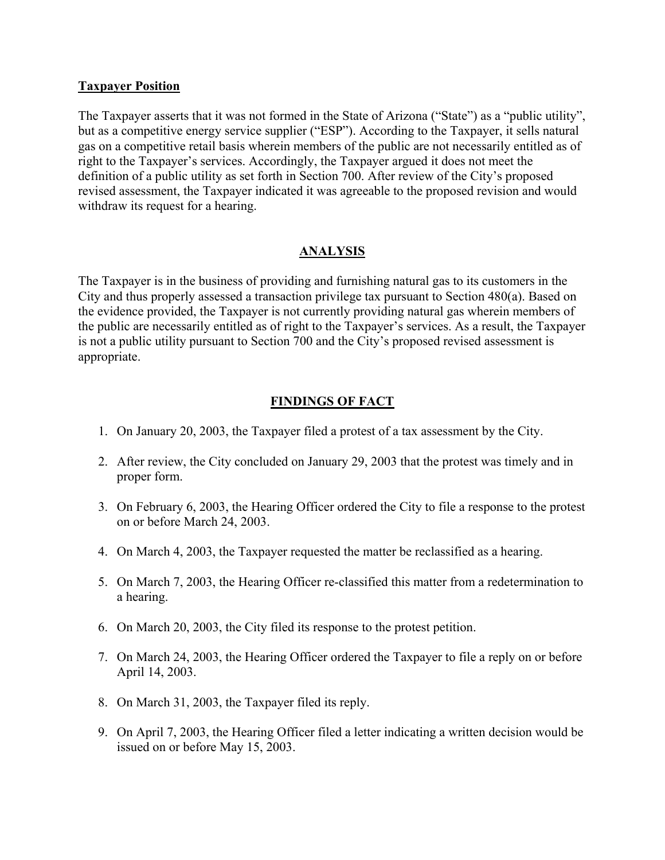#### **Taxpayer Position**

The Taxpayer asserts that it was not formed in the State of Arizona ("State") as a "public utility", but as a competitive energy service supplier ("ESP"). According to the Taxpayer, it sells natural gas on a competitive retail basis wherein members of the public are not necessarily entitled as of right to the Taxpayer's services. Accordingly, the Taxpayer argued it does not meet the definition of a public utility as set forth in Section 700. After review of the City's proposed revised assessment, the Taxpayer indicated it was agreeable to the proposed revision and would withdraw its request for a hearing.

## **ANALYSIS**

The Taxpayer is in the business of providing and furnishing natural gas to its customers in the City and thus properly assessed a transaction privilege tax pursuant to Section 480(a). Based on the evidence provided, the Taxpayer is not currently providing natural gas wherein members of the public are necessarily entitled as of right to the Taxpayer's services. As a result, the Taxpayer is not a public utility pursuant to Section 700 and the City's proposed revised assessment is appropriate.

# **FINDINGS OF FACT**

- 1. On January 20, 2003, the Taxpayer filed a protest of a tax assessment by the City.
- 2. After review, the City concluded on January 29, 2003 that the protest was timely and in proper form.
- 3. On February 6, 2003, the Hearing Officer ordered the City to file a response to the protest on or before March 24, 2003.
- 4. On March 4, 2003, the Taxpayer requested the matter be reclassified as a hearing.
- 5. On March 7, 2003, the Hearing Officer re-classified this matter from a redetermination to a hearing.
- 6. On March 20, 2003, the City filed its response to the protest petition.
- 7. On March 24, 2003, the Hearing Officer ordered the Taxpayer to file a reply on or before April 14, 2003.
- 8. On March 31, 2003, the Taxpayer filed its reply.
- 9. On April 7, 2003, the Hearing Officer filed a letter indicating a written decision would be issued on or before May 15, 2003.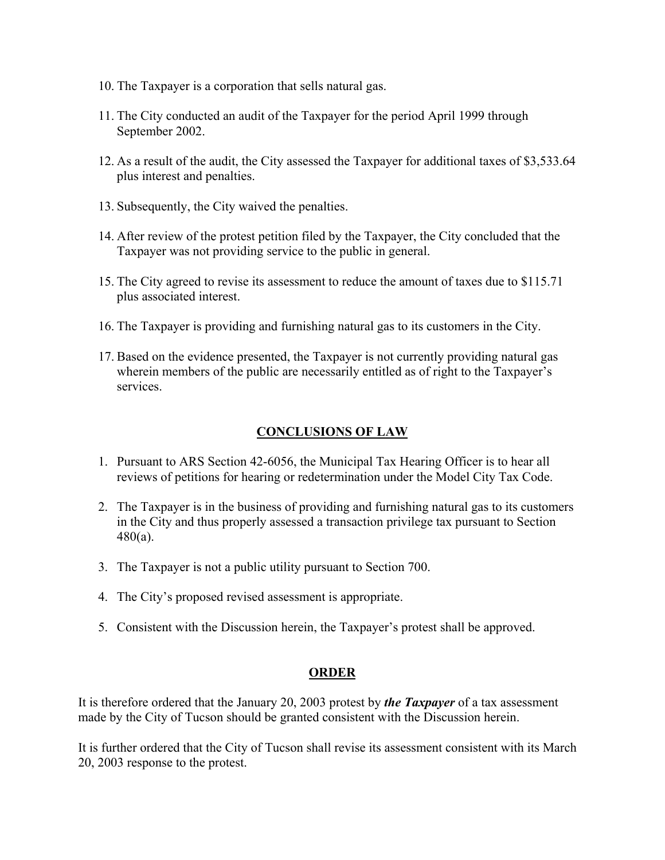- 10. The Taxpayer is a corporation that sells natural gas.
- 11. The City conducted an audit of the Taxpayer for the period April 1999 through September 2002.
- 12. As a result of the audit, the City assessed the Taxpayer for additional taxes of \$3,533.64 plus interest and penalties.
- 13. Subsequently, the City waived the penalties.
- 14. After review of the protest petition filed by the Taxpayer, the City concluded that the Taxpayer was not providing service to the public in general.
- 15. The City agreed to revise its assessment to reduce the amount of taxes due to \$115.71 plus associated interest.
- 16. The Taxpayer is providing and furnishing natural gas to its customers in the City.
- 17. Based on the evidence presented, the Taxpayer is not currently providing natural gas wherein members of the public are necessarily entitled as of right to the Taxpayer's services.

## **CONCLUSIONS OF LAW**

- 1. Pursuant to ARS Section 42-6056, the Municipal Tax Hearing Officer is to hear all reviews of petitions for hearing or redetermination under the Model City Tax Code.
- 2. The Taxpayer is in the business of providing and furnishing natural gas to its customers in the City and thus properly assessed a transaction privilege tax pursuant to Section 480(a).
- 3. The Taxpayer is not a public utility pursuant to Section 700.
- 4. The City's proposed revised assessment is appropriate.
- 5. Consistent with the Discussion herein, the Taxpayer's protest shall be approved.

## **ORDER**

It is therefore ordered that the January 20, 2003 protest by *the Taxpayer* of a tax assessment made by the City of Tucson should be granted consistent with the Discussion herein.

It is further ordered that the City of Tucson shall revise its assessment consistent with its March 20, 2003 response to the protest.